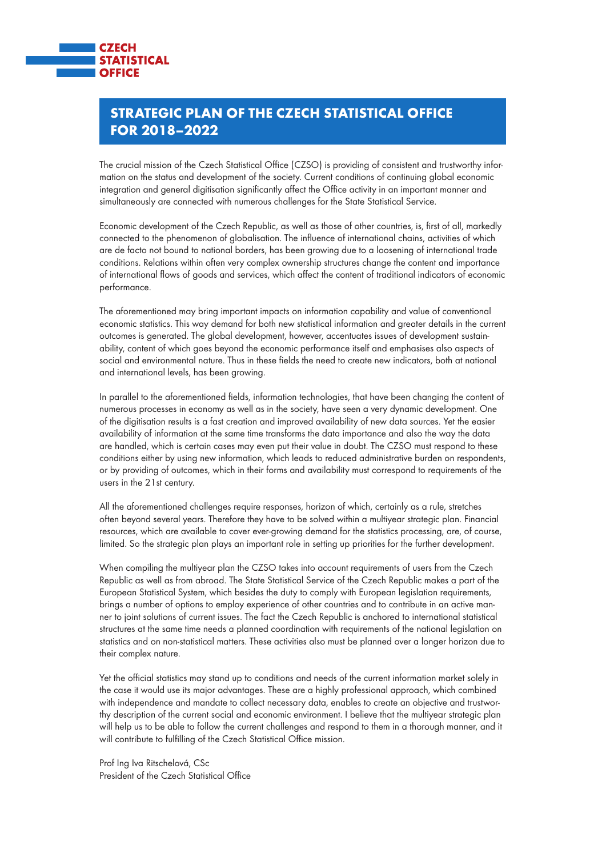

## Strategic Plan of the Czech Statistical Office for 2018–2022

The crucial mission of the Czech Statistical Office (CZSO) is providing of consistent and trustworthy information on the status and development of the society. Current conditions of continuing global economic integration and general digitisation significantly affect the Office activity in an important manner and simultaneously are connected with numerous challenges for the State Statistical Service.

Economic development of the Czech Republic, as well as those of other countries, is, first of all, markedly connected to the phenomenon of globalisation. The influence of international chains, activities of which are de facto not bound to national borders, has been growing due to a loosening of international trade conditions. Relations within often very complex ownership structures change the content and importance of international flows of goods and services, which affect the content of traditional indicators of economic performance.

The aforementioned may bring important impacts on information capability and value of conventional economic statistics. This way demand for both new statistical information and greater details in the current outcomes is generated. The global development, however, accentuates issues of development sustainability, content of which goes beyond the economic performance itself and emphasises also aspects of social and environmental nature. Thus in these fields the need to create new indicators, both at national and international levels, has been growing.

In parallel to the aforementioned fields, information technologies, that have been changing the content of numerous processes in economy as well as in the society, have seen a very dynamic development. One of the digitisation results is a fast creation and improved availability of new data sources. Yet the easier availability of information at the same time transforms the data importance and also the way the data are handled, which is certain cases may even put their value in doubt. The CZSO must respond to these conditions either by using new information, which leads to reduced administrative burden on respondents, or by providing of outcomes, which in their forms and availability must correspond to requirements of the users in the 21st century.

All the aforementioned challenges require responses, horizon of which, certainly as a rule, stretches often beyond several years. Therefore they have to be solved within a multiyear strategic plan. Financial resources, which are available to cover ever-growing demand for the statistics processing, are, of course, limited. So the strategic plan plays an important role in setting up priorities for the further development.

When compiling the multiyear plan the CZSO takes into account requirements of users from the Czech Republic as well as from abroad. The State Statistical Service of the Czech Republic makes a part of the European Statistical System, which besides the duty to comply with European legislation requirements, brings a number of options to employ experience of other countries and to contribute in an active manner to joint solutions of current issues. The fact the Czech Republic is anchored to international statistical structures at the same time needs a planned coordination with requirements of the national legislation on statistics and on non-statistical matters. These activities also must be planned over a longer horizon due to their complex nature.

Yet the official statistics may stand up to conditions and needs of the current information market solely in the case it would use its major advantages. These are a highly professional approach, which combined with independence and mandate to collect necessary data, enables to create an objective and trustworthy description of the current social and economic environment. I believe that the multiyear strategic plan will help us to be able to follow the current challenges and respond to them in a thorough manner, and it will contribute to fulfilling of the Czech Statistical Office mission.

Prof Ing Iva Ritschelová, CSc President of the Czech Statistical Office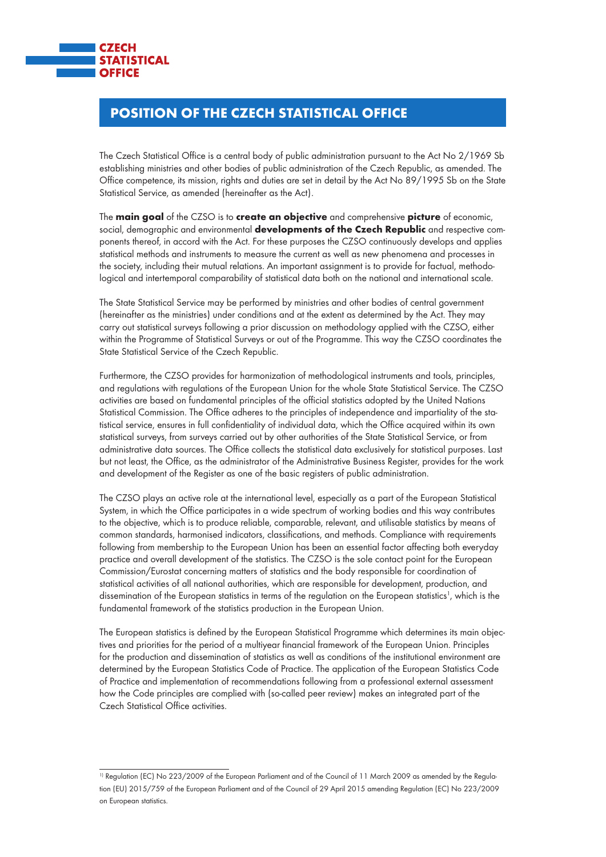

# Position of the Czech Statistical Office

The Czech Statistical Office is a central body of public administration pursuant to the Act No 2/1969 Sb establishing ministries and other bodies of public administration of the Czech Republic, as amended. The Office competence, its mission, rights and duties are set in detail by the Act No 89/1995 Sb on the State Statistical Service, as amended (hereinafter as the Act).

The main goal of the CZSO is to create an objective and comprehensive picture of economic, social, demographic and environmental developments of the Czech Republic and respective components thereof, in accord with the Act. For these purposes the CZSO continuously develops and applies statistical methods and instruments to measure the current as well as new phenomena and processes in the society, including their mutual relations. An important assignment is to provide for factual, methodological and intertemporal comparability of statistical data both on the national and international scale.

The State Statistical Service may be performed by ministries and other bodies of central government (hereinafter as the ministries) under conditions and at the extent as determined by the Act. They may carry out statistical surveys following a prior discussion on methodology applied with the CZSO, either within the Programme of Statistical Surveys or out of the Programme. This way the CZSO coordinates the State Statistical Service of the Czech Republic.

Furthermore, the CZSO provides for harmonization of methodological instruments and tools, principles, and regulations with regulations of the European Union for the whole State Statistical Service. The CZSO activities are based on fundamental principles of the official statistics adopted by the United Nations Statistical Commission. The Office adheres to the principles of independence and impartiality of the statistical service, ensures in full confidentiality of individual data, which the Office acquired within its own statistical surveys, from surveys carried out by other authorities of the State Statistical Service, or from administrative data sources. The Office collects the statistical data exclusively for statistical purposes. Last but not least, the Office, as the administrator of the Administrative Business Register, provides for the work and development of the Register as one of the basic registers of public administration.

The CZSO plays an active role at the international level, especially as a part of the European Statistical System, in which the Office participates in a wide spectrum of working bodies and this way contributes to the objective, which is to produce reliable, comparable, relevant, and utilisable statistics by means of common standards, harmonised indicators, classifications, and methods. Compliance with requirements following from membership to the European Union has been an essential factor affecting both everyday practice and overall development of the statistics. The CZSO is the sole contact point for the European Commission/Eurostat concerning matters of statistics and the body responsible for coordination of statistical activities of all national authorities, which are responsible for development, production, and dissemination of the European statistics in terms of the regulation on the European statistics<sup>1</sup>, which is the fundamental framework of the statistics production in the European Union.

The European statistics is defined by the European Statistical Programme which determines its main objectives and priorities for the period of a multiyear financial framework of the European Union. Principles for the production and dissemination of statistics as well as conditions of the institutional environment are determined by the European Statistics Code of Practice. The application of the European Statistics Code of Practice and implementation of recommendations following from a professional external assessment how the Code principles are complied with (so-called peer review) makes an integrated part of the Czech Statistical Office activities.

<sup>&</sup>lt;sup>1)</sup> Regulation (EC) No 223/2009 of the European Parliament and of the Council of 11 March 2009 as amended by the Regulation (EU) 2015/759 of the European Parliament and of the Council of 29 April 2015 amending Regulation (EC) No 223/2009 on European statistics.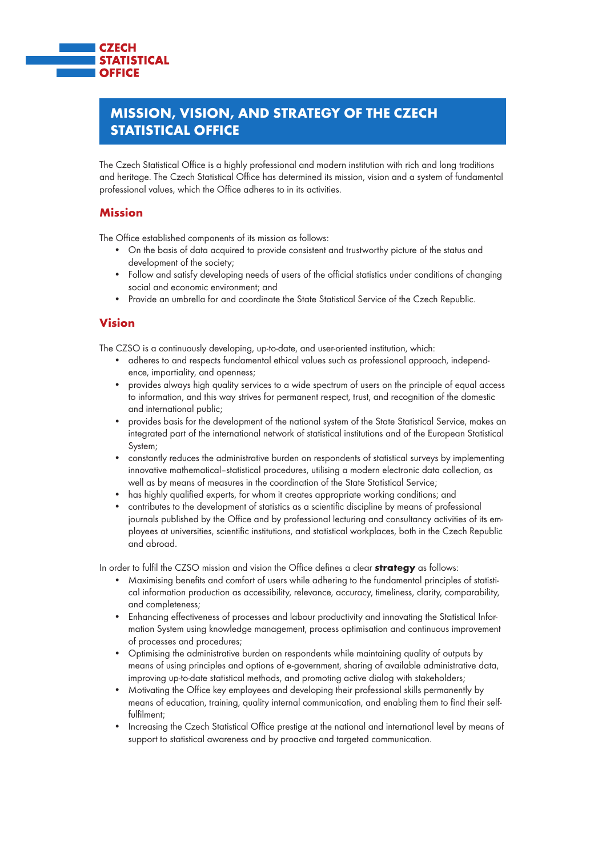

## Mission, Vision, and Strategy of the Czech Statistical Office

The Czech Statistical Office is a highly professional and modern institution with rich and long traditions and heritage. The Czech Statistical Office has determined its mission, vision and a system of fundamental professional values, which the Office adheres to in its activities.

#### Mission

The Office established components of its mission as follows:

- • On the basis of data acquired to provide consistent and trustworthy picture of the status and development of the society;
- Follow and satisfy developing needs of users of the official statistics under conditions of changing social and economic environment; and
- Provide an umbrella for and coordinate the State Statistical Service of the Czech Republic.

#### Vision

The CZSO is a continuously developing, up-to-date, and user-oriented institution, which:

- adheres to and respects fundamental ethical values such as professional approach, independence, impartiality, and openness;
- provides always high quality services to a wide spectrum of users on the principle of equal access to information, and this way strives for permanent respect, trust, and recognition of the domestic and international public;
- provides basis for the development of the national system of the State Statistical Service, makes an integrated part of the international network of statistical institutions and of the European Statistical System;
- constantly reduces the administrative burden on respondents of statistical surveys by implementing innovative mathematical–statistical procedures, utilising a modern electronic data collection, as well as by means of measures in the coordination of the State Statistical Service;
- has highly qualified experts, for whom it creates appropriate working conditions; and
- contributes to the development of statistics as a scientific discipline by means of professional journals published by the Office and by professional lecturing and consultancy activities of its employees at universities, scientific institutions, and statistical workplaces, both in the Czech Republic and abroad.

In order to fulfil the CZSO mission and vision the Office defines a clear **strategy** as follows:

- Maximising benefits and comfort of users while adhering to the fundamental principles of statistical information production as accessibility, relevance, accuracy, timeliness, clarity, comparability, and completeness;
- Enhancing effectiveness of processes and labour productivity and innovating the Statistical Information System using knowledge management, process optimisation and continuous improvement of processes and procedures;
- • Optimising the administrative burden on respondents while maintaining quality of outputs by means of using principles and options of e-government, sharing of available administrative data, improving up-to-date statistical methods, and promoting active dialog with stakeholders;
- • Motivating the Office key employees and developing their professional skills permanently by means of education, training, quality internal communication, and enabling them to find their selffulfilment;
- Increasing the Czech Statistical Office prestige at the national and international level by means of support to statistical awareness and by proactive and targeted communication.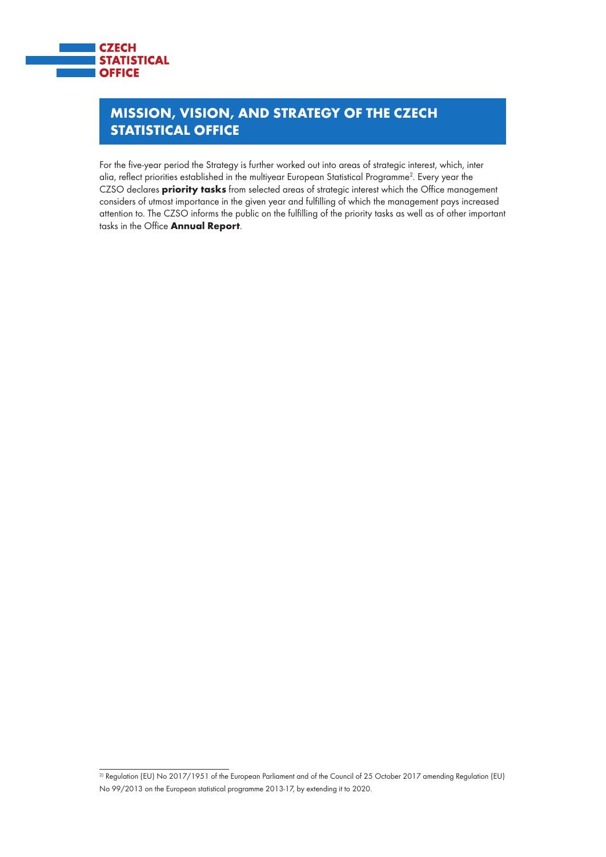

# Mission, Vision, and Strategy of the Czech **STATISTICAL OFFICE**

For the five-year period the Strategy is further worked out into areas of strategic interest, which, inter alia, reflect priorities established in the multiyear European Statistical Programme2 . Every year the CZSO declares **priority tasks** from selected areas of strategic interest which the Office management considers of utmost importance in the given year and fulfilling of which the management pays increased attention to. The CZSO informs the public on the fulfilling of the priority tasks as well as of other important tasks in the Office **Annual Report**.

 $\overline{a}$  Regulation (EU) No 2017/1951 of the European Parliament and of the Council of 25 October 2017 amending Regulation (EU) No 99/2013 on the European statistical programme 2013-17, by extending it to 2020.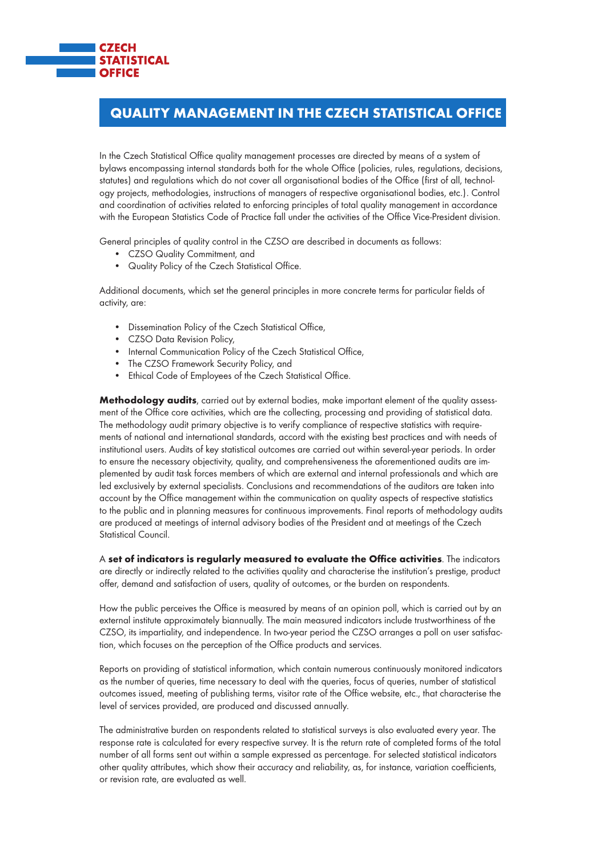

## Quality Management in the Czech Statistical Office

In the Czech Statistical Office quality management processes are directed by means of a system of bylaws encompassing internal standards both for the whole Office (policies, rules, regulations, decisions, statutes) and regulations which do not cover all organisational bodies of the Office (first of all, technology projects, methodologies, instructions of managers of respective organisational bodies, etc.). Control and coordination of activities related to enforcing principles of total quality management in accordance with the European Statistics Code of Practice fall under the activities of the Office Vice-President division.

General principles of quality control in the CZSO are described in documents as follows:

- • CZSO Quality Commitment, and
- • Quality Policy of the Czech Statistical Office.

Additional documents, which set the general principles in more concrete terms for particular fields of activity, are:

- • Dissemination Policy of the Czech Statistical Office,
- • CZSO Data Revision Policy,
- Internal Communication Policy of the Czech Statistical Office,
- The CZSO Framework Security Policy, and
- Ethical Code of Employees of the Czech Statistical Office.

Methodology audits, carried out by external bodies, make important element of the quality assessment of the Office core activities, which are the collecting, processing and providing of statistical data. The methodology audit primary objective is to verify compliance of respective statistics with requirements of national and international standards, accord with the existing best practices and with needs of institutional users. Audits of key statistical outcomes are carried out within several-year periods. In order to ensure the necessary objectivity, quality, and comprehensiveness the aforementioned audits are implemented by audit task forces members of which are external and internal professionals and which are led exclusively by external specialists. Conclusions and recommendations of the auditors are taken into account by the Office management within the communication on quality aspects of respective statistics to the public and in planning measures for continuous improvements. Final reports of methodology audits are produced at meetings of internal advisory bodies of the President and at meetings of the Czech Statistical Council.

A set of indicators is regularly measured to evaluate the Office activities. The indicators are directly or indirectly related to the activities quality and characterise the institution's prestige, product offer, demand and satisfaction of users, quality of outcomes, or the burden on respondents.

How the public perceives the Office is measured by means of an opinion poll, which is carried out by an external institute approximately biannually. The main measured indicators include trustworthiness of the CZSO, its impartiality, and independence. In two-year period the CZSO arranges a poll on user satisfaction, which focuses on the perception of the Office products and services.

Reports on providing of statistical information, which contain numerous continuously monitored indicators as the number of queries, time necessary to deal with the queries, focus of queries, number of statistical outcomes issued, meeting of publishing terms, visitor rate of the Office website, etc., that characterise the level of services provided, are produced and discussed annually.

The administrative burden on respondents related to statistical surveys is also evaluated every year. The response rate is calculated for every respective survey. It is the return rate of completed forms of the total number of all forms sent out within a sample expressed as percentage. For selected statistical indicators other quality attributes, which show their accuracy and reliability, as, for instance, variation coefficients, or revision rate, are evaluated as well.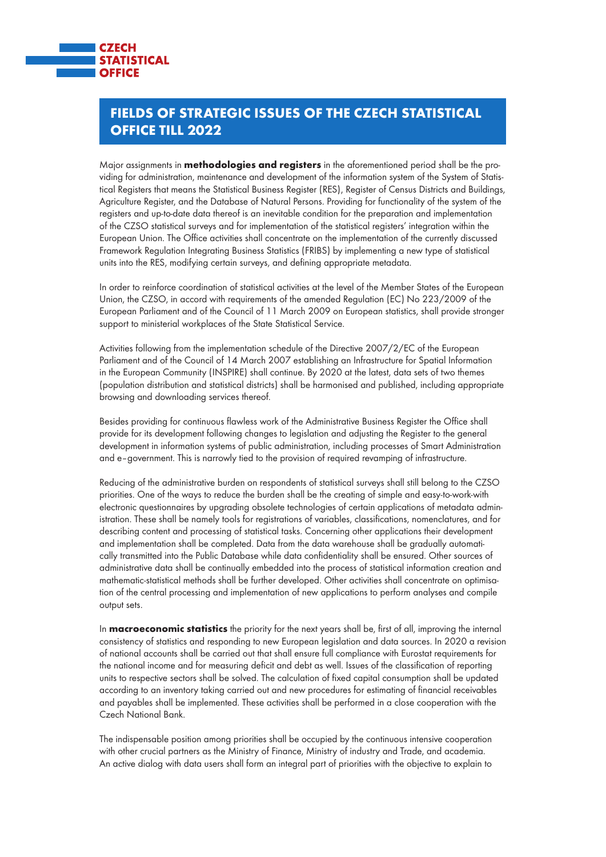

## Fields of Strategic Issues of the Czech Statistical Office till 2022

Major assignments in **methodologies and registers** in the aforementioned period shall be the providing for administration, maintenance and development of the information system of the System of Statistical Registers that means the Statistical Business Register (RES), Register of Census Districts and Buildings, Agriculture Register, and the Database of Natural Persons. Providing for functionality of the system of the registers and up-to-date data thereof is an inevitable condition for the preparation and implementation of the CZSO statistical surveys and for implementation of the statistical registers' integration within the European Union. The Office activities shall concentrate on the implementation of the currently discussed Framework Regulation Integrating Business Statistics (FRIBS) by implementing a new type of statistical units into the RES, modifying certain surveys, and defining appropriate metadata.

In order to reinforce coordination of statistical activities at the level of the Member States of the European Union, the CZSO, in accord with requirements of the amended Regulation (EC) No 223/2009 of the European Parliament and of the Council of 11 March 2009 on European statistics, shall provide stronger support to ministerial workplaces of the State Statistical Service.

Activities following from the implementation schedule of the Directive 2007/2/EC of the European Parliament and of the Council of 14 March 2007 establishing an Infrastructure for Spatial Information in the European Community (INSPIRE) shall continue. By 2020 at the latest, data sets of two themes (population distribution and statistical districts) shall be harmonised and published, including appropriate browsing and downloading services thereof.

Besides providing for continuous flawless work of the Administrative Business Register the Office shall provide for its development following changes to legislation and adjusting the Register to the general development in information systems of public administration, including processes of Smart Administration and e–government. This is narrowly tied to the provision of required revamping of infrastructure.

Reducing of the administrative burden on respondents of statistical surveys shall still belong to the CZSO priorities. One of the ways to reduce the burden shall be the creating of simple and easy-to-work-with electronic questionnaires by upgrading obsolete technologies of certain applications of metadata administration. These shall be namely tools for registrations of variables, classifications, nomenclatures, and for describing content and processing of statistical tasks. Concerning other applications their development and implementation shall be completed. Data from the data warehouse shall be gradually automatically transmitted into the Public Database while data confidentiality shall be ensured. Other sources of administrative data shall be continually embedded into the process of statistical information creation and mathematic-statistical methods shall be further developed. Other activities shall concentrate on optimisation of the central processing and implementation of new applications to perform analyses and compile output sets.

In **macroeconomic statistics** the priority for the next years shall be, first of all, improving the internal consistency of statistics and responding to new European legislation and data sources. In 2020 a revision of national accounts shall be carried out that shall ensure full compliance with Eurostat requirements for the national income and for measuring deficit and debt as well. Issues of the classification of reporting units to respective sectors shall be solved. The calculation of fixed capital consumption shall be updated according to an inventory taking carried out and new procedures for estimating of financial receivables and payables shall be implemented. These activities shall be performed in a close cooperation with the Czech National Bank.

The indispensable position among priorities shall be occupied by the continuous intensive cooperation with other crucial partners as the Ministry of Finance, Ministry of industry and Trade, and academia. An active dialog with data users shall form an integral part of priorities with the objective to explain to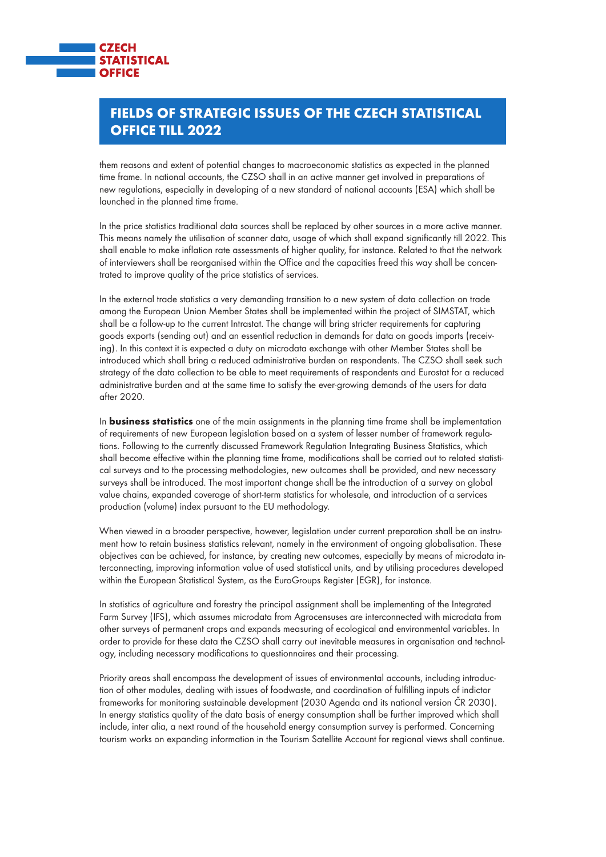

## Fields of Strategic Issues of the Czech Statistical Office till 2022

them reasons and extent of potential changes to macroeconomic statistics as expected in the planned time frame. In national accounts, the CZSO shall in an active manner get involved in preparations of new regulations, especially in developing of a new standard of national accounts (ESA) which shall be launched in the planned time frame.

In the price statistics traditional data sources shall be replaced by other sources in a more active manner. This means namely the utilisation of scanner data, usage of which shall expand significantly till 2022. This shall enable to make inflation rate assessments of higher quality, for instance. Related to that the network of interviewers shall be reorganised within the Office and the capacities freed this way shall be concentrated to improve quality of the price statistics of services.

In the external trade statistics a very demanding transition to a new system of data collection on trade among the European Union Member States shall be implemented within the project of SIMSTAT, which shall be a follow-up to the current Intrastat. The change will bring stricter requirements for capturing goods exports (sending out) and an essential reduction in demands for data on goods imports (receiving). In this context it is expected a duty on microdata exchange with other Member States shall be introduced which shall bring a reduced administrative burden on respondents. The CZSO shall seek such strategy of the data collection to be able to meet requirements of respondents and Eurostat for a reduced administrative burden and at the same time to satisfy the ever-growing demands of the users for data after 2020.

In **business statistics** one of the main assignments in the planning time frame shall be implementation of requirements of new European legislation based on a system of lesser number of framework regulations. Following to the currently discussed Framework Regulation Integrating Business Statistics, which shall become effective within the planning time frame, modifications shall be carried out to related statistical surveys and to the processing methodologies, new outcomes shall be provided, and new necessary surveys shall be introduced. The most important change shall be the introduction of a survey on global value chains, expanded coverage of short-term statistics for wholesale, and introduction of a services production (volume) index pursuant to the EU methodology.

When viewed in a broader perspective, however, legislation under current preparation shall be an instrument how to retain business statistics relevant, namely in the environment of ongoing globalisation. These objectives can be achieved, for instance, by creating new outcomes, especially by means of microdata interconnecting, improving information value of used statistical units, and by utilising procedures developed within the European Statistical System, as the EuroGroups Register (EGR), for instance.

In statistics of agriculture and forestry the principal assignment shall be implementing of the Integrated Farm Survey (IFS), which assumes microdata from Agrocensuses are interconnected with microdata from other surveys of permanent crops and expands measuring of ecological and environmental variables. In order to provide for these data the CZSO shall carry out inevitable measures in organisation and technology, including necessary modifications to questionnaires and their processing.

Priority areas shall encompass the development of issues of environmental accounts, including introduction of other modules, dealing with issues of foodwaste, and coordination of fulfilling inputs of indictor frameworks for monitoring sustainable development (2030 Agenda and its national version ČR 2030). In energy statistics quality of the data basis of energy consumption shall be further improved which shall include, inter alia, a next round of the household energy consumption survey is performed. Concerning tourism works on expanding information in the Tourism Satellite Account for regional views shall continue.